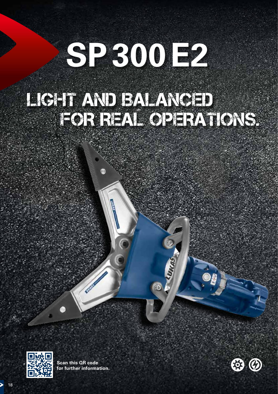# **SP300E2**

# LIGHT AND BALANCED FOR REAL OPERATIONS.

 $\odot$ 



**Scan this QR code for further information.**